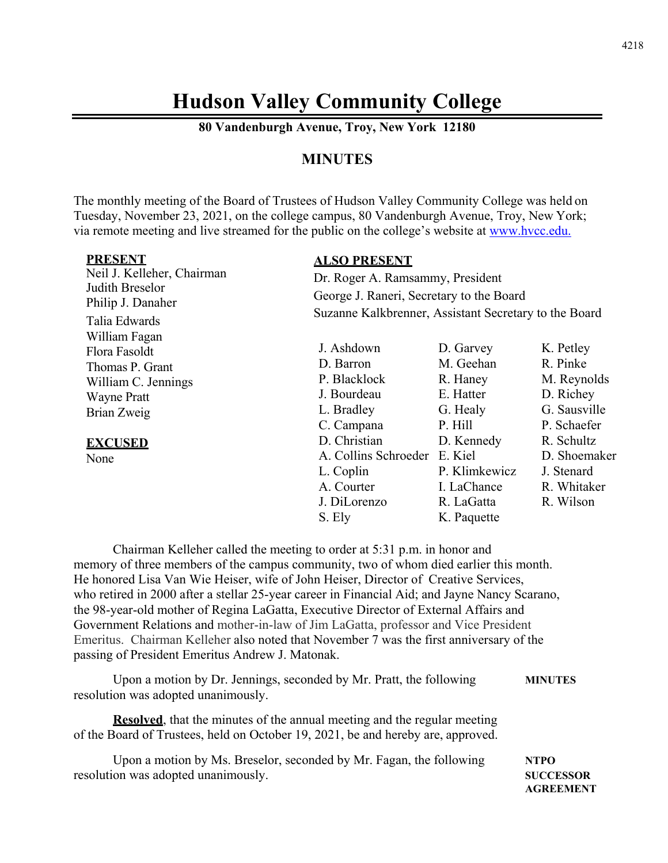# **Hudson Valley Community College**

**80 Vandenburgh Avenue, Troy, New York 12180** 

#### **MINUTES**

The monthly meeting of the Board of Trustees of Hudson Valley Community College was held on Tuesday, November 23, 2021, on the college campus, 80 Vandenburgh Avenue, Troy, New York; via remote meeting and live streamed for the public on the college's website at www.hvcc.edu.

| <b>PRESENT</b>                       | <b>ALSO PRESENT</b>                                   |               |              |  |
|--------------------------------------|-------------------------------------------------------|---------------|--------------|--|
| Neil J. Kelleher, Chairman           | Dr. Roger A. Ramsammy, President                      |               |              |  |
| Judith Breselor<br>Philip J. Danaher | George J. Raneri, Secretary to the Board              |               |              |  |
| Talia Edwards                        | Suzanne Kalkbrenner, Assistant Secretary to the Board |               |              |  |
| William Fagan<br>Flora Fasoldt       | J. Ashdown                                            | D. Garvey     | K. Petley    |  |
| Thomas P. Grant                      | D. Barron                                             | M. Geehan     | R. Pinke     |  |
| William C. Jennings                  | P. Blacklock                                          | R. Haney      | M. Reynolds  |  |
| <b>Wayne Pratt</b>                   | J. Bourdeau                                           | E. Hatter     | D. Richey    |  |
| Brian Zweig                          | L. Bradley                                            | G. Healy      | G. Sausville |  |
|                                      | C. Campana                                            | P. Hill       | P. Schaefer  |  |
| <b>EXCUSED</b>                       | D. Christian                                          | D. Kennedy    | R. Schultz   |  |
| None                                 | A. Collins Schroeder E. Kiel                          |               | D. Shoemaker |  |
|                                      | L. Coplin                                             | P. Klimkewicz | J. Stenard   |  |
|                                      | A. Courter                                            | I. LaChance   | R. Whitaker  |  |
|                                      | J. DiLorenzo                                          | R. LaGatta    | R. Wilson    |  |
|                                      | S. Ely                                                | K. Paquette   |              |  |

 Chairman Kelleher called the meeting to order at 5:31 p.m. in honor and memory of three members of the campus community, two of whom died earlier this month. He honored Lisa Van Wie Heiser, wife of John Heiser, Director of Creative Services, who retired in 2000 after a stellar 25-year career in Financial Aid; and Jayne Nancy Scarano, the 98-year-old mother of Regina LaGatta, Executive Director of External Affairs and Government Relations and mother-in-law of Jim LaGatta, professor and Vice President Emeritus. Chairman Kelleher also noted that November 7 was the first anniversary of the passing of President Emeritus Andrew J. Matonak.

Upon a motion by Dr. Jennings, seconded by Mr. Pratt, the following **MINUTES**  resolution was adopted unanimously.

**Resolved**, that the minutes of the annual meeting and the regular meeting of the Board of Trustees, held on October 19, 2021, be and hereby are, approved.

Upon a motion by Ms. Breselor, seconded by Mr. Fagan, the following **NTPO**  resolution was adopted unanimously. **SUCCESSOR** 

 **AGREEMENT**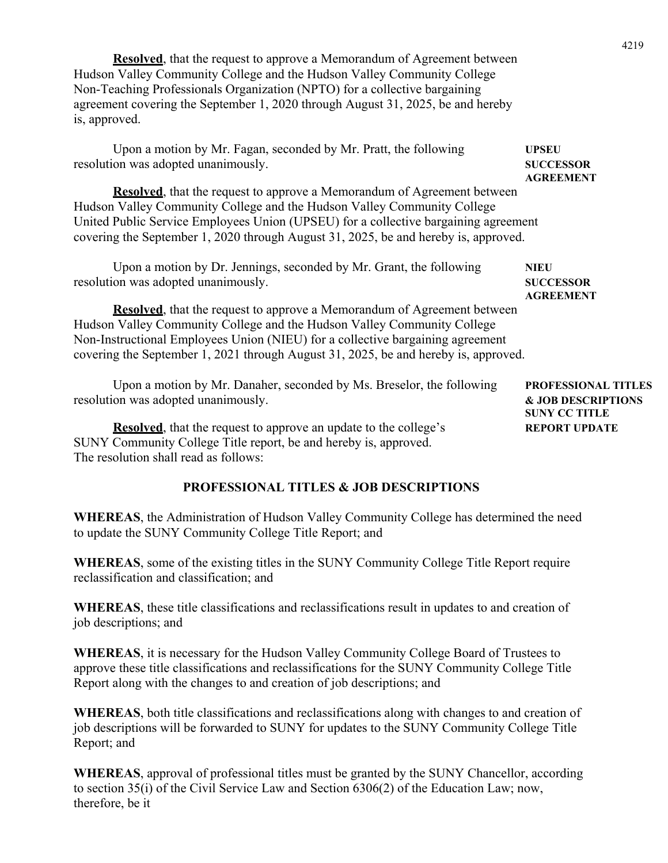**Resolved**, that the request to approve a Memorandum of Agreement between Hudson Valley Community College and the Hudson Valley Community College Non-Teaching Professionals Organization (NPTO) for a collective bargaining agreement covering the September 1, 2020 through August 31, 2025, be and hereby is, approved.

Upon a motion by Mr. Fagan, seconded by Mr. Pratt, the following **UPSEU**  resolution was adopted unanimously. **SUCCESSOR AGREEMENT Resolved**, that the request to approve a Memorandum of Agreement between Hudson Valley Community College and the Hudson Valley Community College United Public Service Employees Union (UPSEU) for a collective bargaining agreement covering the September 1, 2020 through August 31, 2025, be and hereby is, approved. Upon a motion by Dr. Jennings, seconded by Mr. Grant, the following **NIEU**  resolution was adopted unanimously. **SUCCESSOR AGREEMENT Resolved**, that the request to approve a Memorandum of Agreement between Hudson Valley Community College and the Hudson Valley Community College Non-Instructional Employees Union (NIEU) for a collective bargaining agreement covering the September 1, 2021 through August 31, 2025, be and hereby is, approved. Upon a motion by Mr. Danaher, seconded by Ms. Breselor, the following **PROFESSIONAL TITLES** resolution was adopted unanimously. **& JOB DESCRIPTIONS SUNY CC TITLE Resolved**, that the request to approve an update to the college's **REPORT UPDATE** SUNY Community College Title report, be and hereby is, approved.

The resolution shall read as follows:

#### **PROFESSIONAL TITLES & JOB DESCRIPTIONS**

**WHEREAS**, the Administration of Hudson Valley Community College has determined the need to update the SUNY Community College Title Report; and

**WHEREAS**, some of the existing titles in the SUNY Community College Title Report require reclassification and classification; and

**WHEREAS**, these title classifications and reclassifications result in updates to and creation of job descriptions; and

**WHEREAS**, it is necessary for the Hudson Valley Community College Board of Trustees to approve these title classifications and reclassifications for the SUNY Community College Title Report along with the changes to and creation of job descriptions; and

**WHEREAS**, both title classifications and reclassifications along with changes to and creation of job descriptions will be forwarded to SUNY for updates to the SUNY Community College Title Report; and

**WHEREAS**, approval of professional titles must be granted by the SUNY Chancellor, according to section 35(i) of the Civil Service Law and Section 6306(2) of the Education Law; now, therefore, be it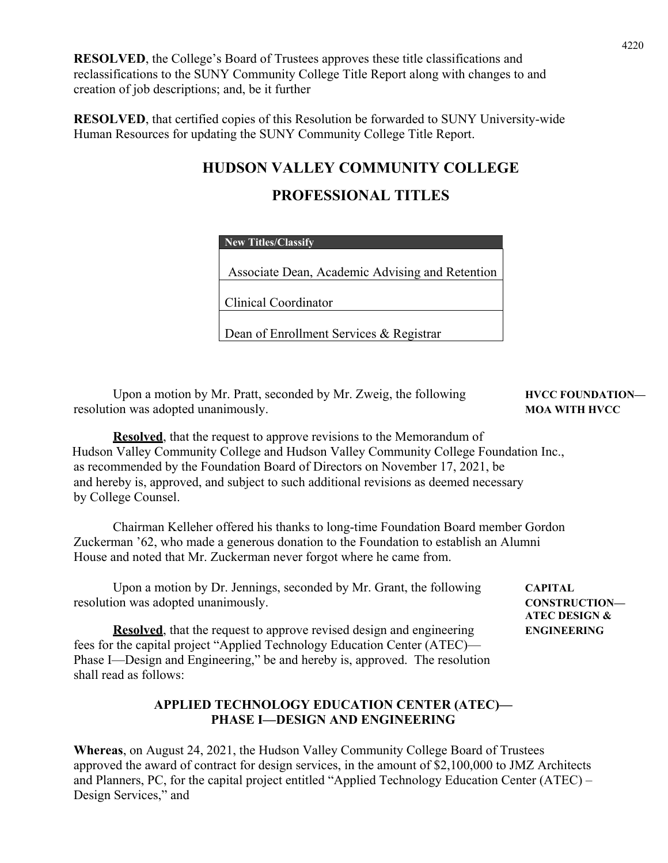**RESOLVED**, the College's Board of Trustees approves these title classifications and reclassifications to the SUNY Community College Title Report along with changes to and creation of job descriptions; and, be it further

**RESOLVED**, that certified copies of this Resolution be forwarded to SUNY University-wide Human Resources for updating the SUNY Community College Title Report.

## **HUDSON VALLEY COMMUNITY COLLEGE**

## **PROFESSIONAL TITLES**

| New Titles/Classify                             |  |
|-------------------------------------------------|--|
| Associate Dean, Academic Advising and Retention |  |
| Clinical Coordinator                            |  |
| Dean of Enrollment Services & Registrar         |  |

Upon a motion by Mr. Pratt, seconded by Mr. Zweig, the following **HVCC FOUNDATION** resolution was adopted unanimously. **MOA WITH HVCC** MOA WITH HVCC

 **ATEC DESIGN &** 

**Resolved**, that the request to approve revisions to the Memorandum of Hudson Valley Community College and Hudson Valley Community College Foundation Inc., as recommended by the Foundation Board of Directors on November 17, 2021, be and hereby is, approved, and subject to such additional revisions as deemed necessary by College Counsel.

 Chairman Kelleher offered his thanks to long-time Foundation Board member Gordon Zuckerman '62, who made a generous donation to the Foundation to establish an Alumni House and noted that Mr. Zuckerman never forgot where he came from.

Upon a motion by Dr. Jennings, seconded by Mr. Grant, the following **CAPITAL** resolution was adopted unanimously. **CONSTRUCTION—** 

**Resolved**, that the request to approve revised design and engineering **ENGINEERING** fees for the capital project "Applied Technology Education Center (ATEC)— Phase I—Design and Engineering," be and hereby is, approved. The resolution shall read as follows:

#### **APPLIED TECHNOLOGY EDUCATION CENTER (ATEC)— PHASE I—DESIGN AND ENGINEERING**

**Whereas**, on August 24, 2021, the Hudson Valley Community College Board of Trustees approved the award of contract for design services, in the amount of \$2,100,000 to JMZ Architects and Planners, PC, for the capital project entitled "Applied Technology Education Center (ATEC) – Design Services," and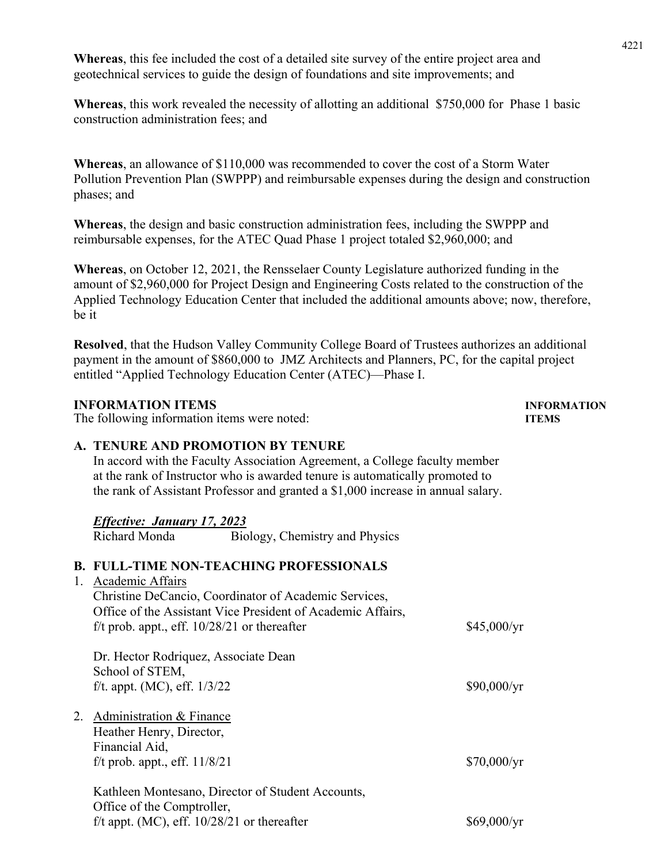**Whereas**, this fee included the cost of a detailed site survey of the entire project area and geotechnical services to guide the design of foundations and site improvements; and

**Whereas**, this work revealed the necessity of allotting an additional \$750,000 for Phase 1 basic construction administration fees; and

**Whereas**, an allowance of \$110,000 was recommended to cover the cost of a Storm Water Pollution Prevention Plan (SWPPP) and reimbursable expenses during the design and construction phases; and

**Whereas**, the design and basic construction administration fees, including the SWPPP and reimbursable expenses, for the ATEC Quad Phase 1 project totaled \$2,960,000; and

**Whereas**, on October 12, 2021, the Rensselaer County Legislature authorized funding in the amount of \$2,960,000 for Project Design and Engineering Costs related to the construction of the Applied Technology Education Center that included the additional amounts above; now, therefore, be it

**Resolved**, that the Hudson Valley Community College Board of Trustees authorizes an additional payment in the amount of \$860,000 to JMZ Architects and Planners, PC, for the capital project entitled "Applied Technology Education Center (ATEC)—Phase I.

#### **INFORMATION ITEMS INFORMATION**

The following information items were noted: **ITEMS** 

#### **A. TENURE AND PROMOTION BY TENURE**

In accord with the Faculty Association Agreement, a College faculty member at the rank of Instructor who is awarded tenure is automatically promoted to the rank of Assistant Professor and granted a \$1,000 increase in annual salary.

#### *Effective: January 17, 2023*

Richard Monda Biology, Chemistry and Physics

### **B. FULL-TIME NON-TEACHING PROFESSIONALS**

1. Academic Affairs

| Christine DeCancio, Coordinator of Academic Services,<br>Office of the Assistant Vice President of Academic Affairs,<br>f/t prob. appt., eff. $10/28/21$ or thereafter | \$45,000/yr         |
|------------------------------------------------------------------------------------------------------------------------------------------------------------------------|---------------------|
| Dr. Hector Rodriquez, Associate Dean                                                                                                                                   |                     |
| School of STEM,                                                                                                                                                        |                     |
| f/t. appt. (MC), eff. $1/3/22$                                                                                                                                         | $$90,000/\text{yr}$ |
| 2. Administration & Finance                                                                                                                                            |                     |
| Heather Henry, Director,                                                                                                                                               |                     |
| Financial Aid,                                                                                                                                                         |                     |
| f/t prob. appt., eff. $11/8/21$                                                                                                                                        | $$70,000/\text{yr}$ |

Kathleen Montesano, Director of Student Accounts, Office of the Comptroller, f/t appt. (MC), eff.  $10/28/21$  or thereafter \$69,000/yr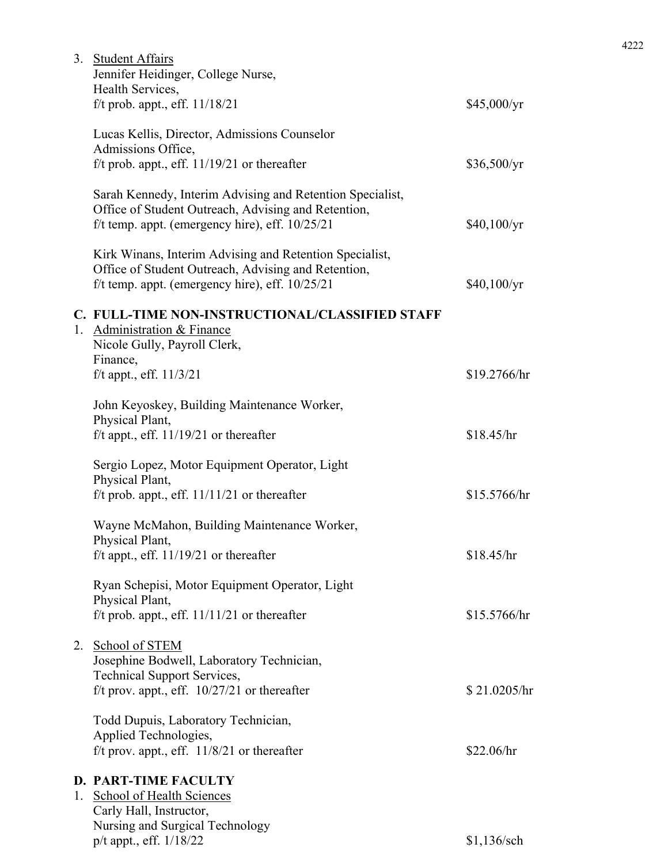|    | 3. Student Affairs<br>Jennifer Heidinger, College Nurse,<br>Health Services,                                                                                          |               |
|----|-----------------------------------------------------------------------------------------------------------------------------------------------------------------------|---------------|
|    | f/t prob. appt., eff. $11/18/21$                                                                                                                                      | \$45,000/yr   |
|    | Lucas Kellis, Director, Admissions Counselor<br>Admissions Office,                                                                                                    |               |
|    | f/t prob. appt., eff. $11/19/21$ or thereafter                                                                                                                        | \$36,500/yr   |
|    | Sarah Kennedy, Interim Advising and Retention Specialist,<br>Office of Student Outreach, Advising and Retention,<br>f/t temp. appt. (emergency hire), eff. $10/25/21$ | \$40,100/yr   |
|    | Kirk Winans, Interim Advising and Retention Specialist,<br>Office of Student Outreach, Advising and Retention,<br>f/t temp. appt. (emergency hire), eff. $10/25/21$   | \$40,100/yr   |
|    | C. FULL-TIME NON-INSTRUCTIONAL/CLASSIFIED STAFF<br>1. Administration & Finance<br>Nicole Gully, Payroll Clerk,<br>Finance,                                            |               |
|    | f/t appt., eff. $11/3/21$                                                                                                                                             | \$19.2766/hr  |
|    | John Keyoskey, Building Maintenance Worker,<br>Physical Plant,                                                                                                        |               |
|    | f/t appt., eff. $11/19/21$ or thereafter                                                                                                                              | \$18.45/hr    |
|    | Sergio Lopez, Motor Equipment Operator, Light<br>Physical Plant,                                                                                                      |               |
|    | f/t prob. appt., eff. $11/11/21$ or thereafter                                                                                                                        | \$15.5766/hr  |
|    | Wayne McMahon, Building Maintenance Worker,<br>Physical Plant,                                                                                                        |               |
|    | f/t appt., eff. $11/19/21$ or thereafter                                                                                                                              | \$18.45/hr    |
|    | Ryan Schepisi, Motor Equipment Operator, Light<br>Physical Plant,                                                                                                     |               |
|    | f/t prob. appt., eff. $11/11/21$ or thereafter                                                                                                                        | \$15.5766/hr  |
|    | 2. School of STEM<br>Josephine Bodwell, Laboratory Technician,<br><b>Technical Support Services,</b>                                                                  |               |
|    | f/t prov. appt., eff. $10/27/21$ or thereafter                                                                                                                        | \$21.0205/hr  |
|    | Todd Dupuis, Laboratory Technician,<br>Applied Technologies,                                                                                                          |               |
|    | f/t prov. appt., eff. $11/8/21$ or thereafter                                                                                                                         | \$22.06/hr    |
|    | <b>D. PART-TIME FACULTY</b>                                                                                                                                           |               |
| 1. | <b>School of Health Sciences</b><br>Carly Hall, Instructor,                                                                                                           |               |
|    | Nursing and Surgical Technology<br>p/t appt., eff. 1/18/22                                                                                                            | $$1,136$ /sch |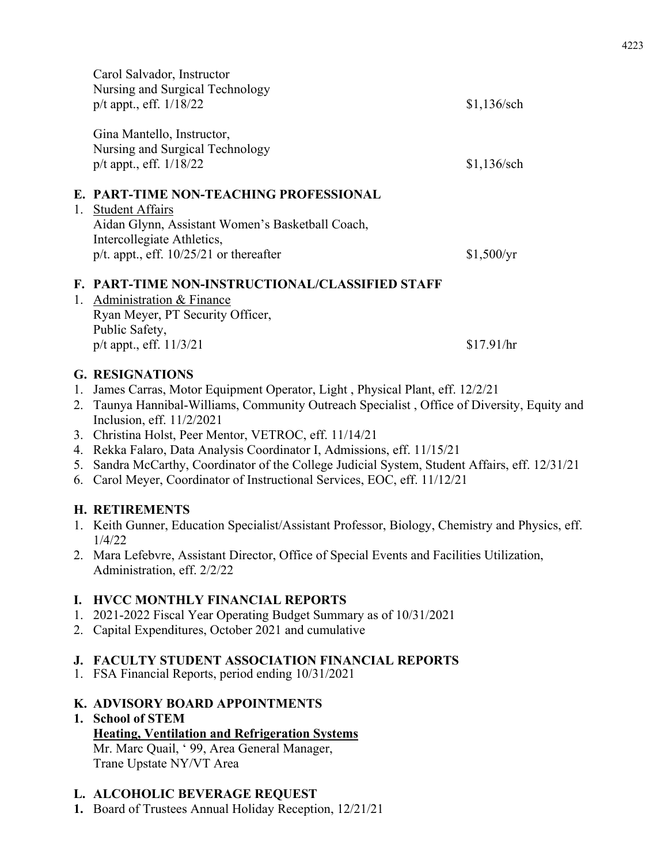|    | Carol Salvador, Instructor<br>Nursing and Surgical Technology<br>$p/t$ appt., eff. $1/18/22$                                                                                                    | $$1,136$ /sch |
|----|-------------------------------------------------------------------------------------------------------------------------------------------------------------------------------------------------|---------------|
|    | Gina Mantello, Instructor,<br>Nursing and Surgical Technology<br>$p/t$ appt., eff. $1/18/22$                                                                                                    | $$1,136$ /sch |
| 1. | E. PART-TIME NON-TEACHING PROFESSIONAL<br><b>Student Affairs</b><br>Aidan Glynn, Assistant Women's Basketball Coach,<br>Intercollegiate Athletics,<br>p/t. appt., eff. $10/25/21$ or thereafter | \$1,500/yr    |
|    | <b>F. PART-TIME NON-INSTRUCTIONAL/CLASSIFIED STAFF</b><br>1. Administration & Finance<br>Ryan Meyer, PT Security Officer,<br>Public Safety,                                                     |               |
|    | $p/t$ appt., eff. $11/3/21$                                                                                                                                                                     | \$17.91/hr    |

#### **G. RESIGNATIONS**

- 1. James Carras, Motor Equipment Operator, Light , Physical Plant, eff. 12/2/21
- 2. Taunya Hannibal-Williams, Community Outreach Specialist , Office of Diversity, Equity and Inclusion, eff. 11/2/2021
- 3. Christina Holst, Peer Mentor, VETROC, eff. 11/14/21
- 4. Rekka Falaro, Data Analysis Coordinator I, Admissions, eff. 11/15/21
- 5. Sandra McCarthy, Coordinator of the College Judicial System, Student Affairs, eff. 12/31/21
- 6. Carol Meyer, Coordinator of Instructional Services, EOC, eff. 11/12/21

## **H. RETIREMENTS**

- 1. Keith Gunner, Education Specialist/Assistant Professor, Biology, Chemistry and Physics, eff. 1/4/22
- 2. Mara Lefebvre, Assistant Director, Office of Special Events and Facilities Utilization, Administration, eff. 2/2/22

## **I. HVCC MONTHLY FINANCIAL REPORTS**

- 1. 2021-2022 Fiscal Year Operating Budget Summary as of 10/31/2021
- 2. Capital Expenditures, October 2021 and cumulative

## **J. FACULTY STUDENT ASSOCIATION FINANCIAL REPORTS**

1. FSA Financial Reports, period ending 10/31/2021

## **K. ADVISORY BOARD APPOINTMENTS**

**1. School of STEM Heating, Ventilation and Refrigeration Systems**  Mr. Marc Quail, ' 99, Area General Manager, Trane Upstate NY/VT Area

## **L. ALCOHOLIC BEVERAGE REQUEST**

**1.** Board of Trustees Annual Holiday Reception, 12/21/21